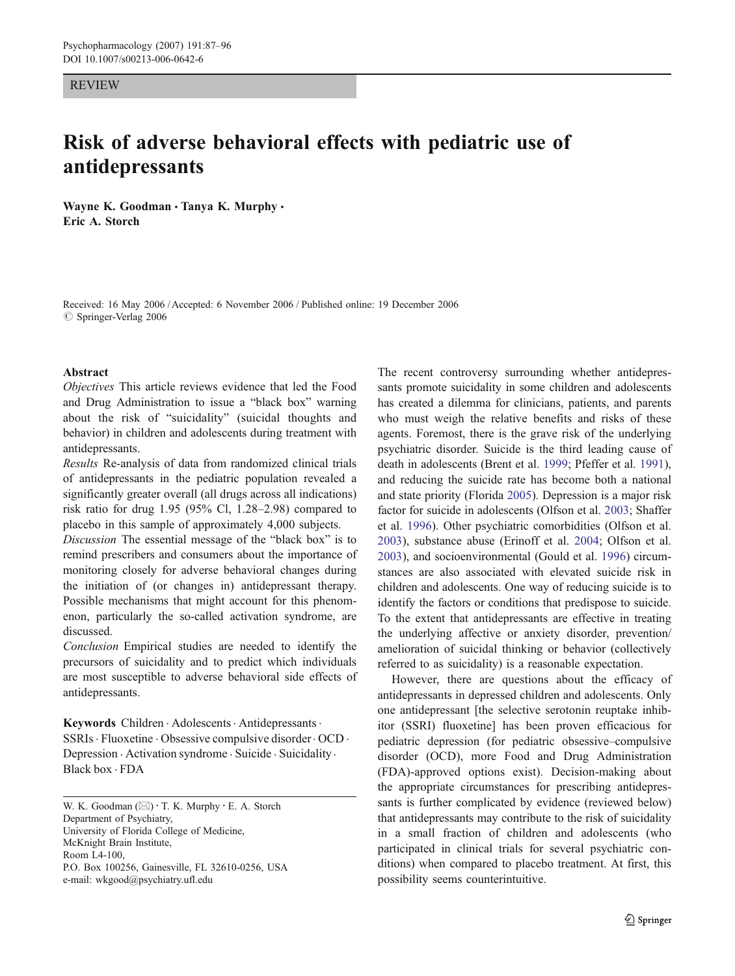### REVIEW

# Risk of adverse behavioral effects with pediatric use of antidepressants

Wayne K. Goodman · Tanya K. Murphy · Eric A. Storch

Received: 16 May 2006 /Accepted: 6 November 2006 / Published online: 19 December 2006  $\oslash$  Springer-Verlag 2006

## Abstract

Objectives This article reviews evidence that led the Food and Drug Administration to issue a "black box" warning about the risk of "suicidality" (suicidal thoughts and behavior) in children and adolescents during treatment with antidepressants.

Results Re-analysis of data from randomized clinical trials of antidepressants in the pediatric population revealed a significantly greater overall (all drugs across all indications) risk ratio for drug 1.95 (95% Cl, 1.28–2.98) compared to placebo in this sample of approximately 4,000 subjects.

Discussion The essential message of the "black box" is to remind prescribers and consumers about the importance of monitoring closely for adverse behavioral changes during the initiation of (or changes in) antidepressant therapy. Possible mechanisms that might account for this phenomenon, particularly the so-called activation syndrome, are discussed.

Conclusion Empirical studies are needed to identify the precursors of suicidality and to predict which individuals are most susceptible to adverse behavioral side effects of antidepressants.

Keywords Children · Adolescents · Antidepressants · SSRIs · Fluoxetine · Obsessive compulsive disorder · OCD · Depression · Activation syndrome · Suicide · Suicidality · Black box . FDA

W. K. Goodman ( $\boxtimes$ ) · T. K. Murphy · E. A. Storch Department of Psychiatry, University of Florida College of Medicine, McKnight Brain Institute, Room L4-100, P.O. Box 100256, Gainesville, FL 32610-0256, USA e-mail: wkgood@psychiatry.ufl.edu

The recent controversy surrounding whether antidepressants promote suicidality in some children and adolescents has created a dilemma for clinicians, patients, and parents who must weigh the relative benefits and risks of these agents. Foremost, there is the grave risk of the underlying psychiatric disorder. Suicide is the third leading cause of death in adolescents (Brent et al. [1999](#page-8-0); Pfeffer et al. [1991\)](#page-9-0), and reducing the suicide rate has become both a national and state priority (Florida [2005](#page-8-0)). Depression is a major risk factor for suicide in adolescents (Olfson et al. [2003](#page-9-0); Shaffer et al. [1996](#page-9-0)). Other psychiatric comorbidities (Olfson et al. [2003](#page-9-0)), substance abuse (Erinoff et al. [2004;](#page-8-0) Olfson et al. [2003](#page-9-0)), and socioenvironmental (Gould et al. [1996](#page-8-0)) circumstances are also associated with elevated suicide risk in children and adolescents. One way of reducing suicide is to identify the factors or conditions that predispose to suicide. To the extent that antidepressants are effective in treating the underlying affective or anxiety disorder, prevention/ amelioration of suicidal thinking or behavior (collectively referred to as suicidality) is a reasonable expectation.

However, there are questions about the efficacy of antidepressants in depressed children and adolescents. Only one antidepressant [the selective serotonin reuptake inhibitor (SSRI) fluoxetine] has been proven efficacious for pediatric depression (for pediatric obsessive–compulsive disorder (OCD), more Food and Drug Administration (FDA)-approved options exist). Decision-making about the appropriate circumstances for prescribing antidepressants is further complicated by evidence (reviewed below) that antidepressants may contribute to the risk of suicidality in a small fraction of children and adolescents (who participated in clinical trials for several psychiatric conditions) when compared to placebo treatment. At first, this possibility seems counterintuitive.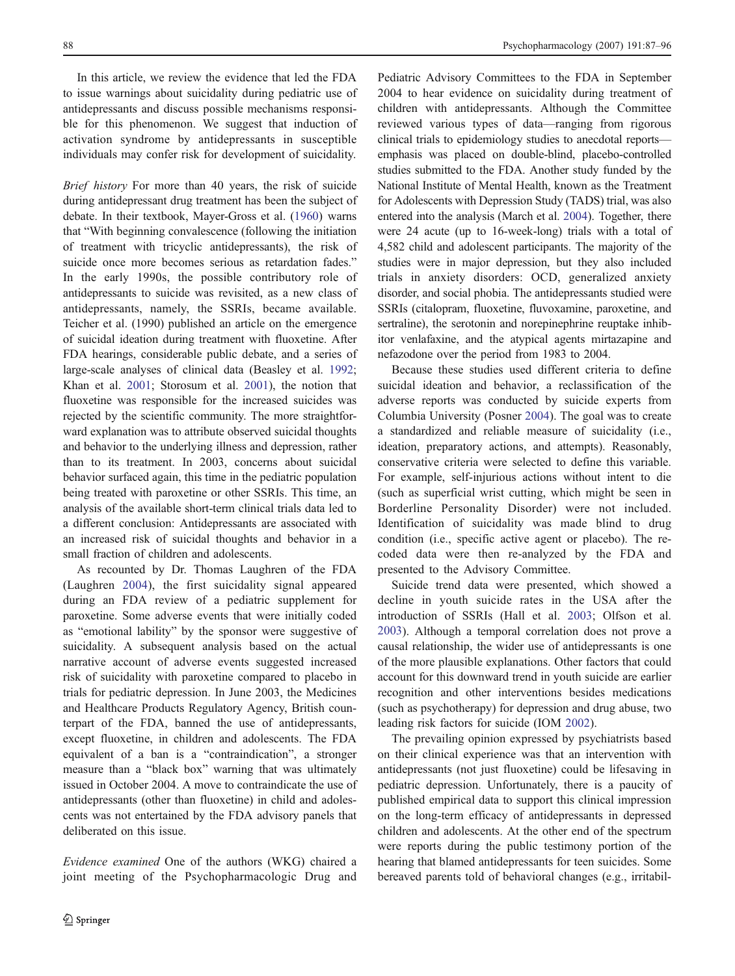In this article, we review the evidence that led the FDA to issue warnings about suicidality during pediatric use of antidepressants and discuss possible mechanisms responsible for this phenomenon. We suggest that induction of activation syndrome by antidepressants in susceptible individuals may confer risk for development of suicidality.

Brief history For more than 40 years, the risk of suicide during antidepressant drug treatment has been the subject of debate. In their textbook, Mayer-Gross et al. ([1960](#page-8-0)) warns that "With beginning convalescence (following the initiation of treatment with tricyclic antidepressants), the risk of suicide once more becomes serious as retardation fades." In the early 1990s, the possible contributory role of antidepressants to suicide was revisited, as a new class of antidepressants, namely, the SSRIs, became available. Teicher et al. (1990) published an article on the emergence of suicidal ideation during treatment with fluoxetine. After FDA hearings, considerable public debate, and a series of large-scale analyses of clinical data (Beasley et al. [1992](#page-7-0); Khan et al. [2001;](#page-8-0) Storosum et al. [2001\)](#page-9-0), the notion that fluoxetine was responsible for the increased suicides was rejected by the scientific community. The more straightforward explanation was to attribute observed suicidal thoughts and behavior to the underlying illness and depression, rather than to its treatment. In 2003, concerns about suicidal behavior surfaced again, this time in the pediatric population being treated with paroxetine or other SSRIs. This time, an analysis of the available short-term clinical trials data led to a different conclusion: Antidepressants are associated with an increased risk of suicidal thoughts and behavior in a small fraction of children and adolescents.

As recounted by Dr. Thomas Laughren of the FDA (Laughren [2004\)](#page-8-0), the first suicidality signal appeared during an FDA review of a pediatric supplement for paroxetine. Some adverse events that were initially coded as "emotional lability" by the sponsor were suggestive of suicidality. A subsequent analysis based on the actual narrative account of adverse events suggested increased risk of suicidality with paroxetine compared to placebo in trials for pediatric depression. In June 2003, the Medicines and Healthcare Products Regulatory Agency, British counterpart of the FDA, banned the use of antidepressants, except fluoxetine, in children and adolescents. The FDA equivalent of a ban is a "contraindication", a stronger measure than a "black box" warning that was ultimately issued in October 2004. A move to contraindicate the use of antidepressants (other than fluoxetine) in child and adolescents was not entertained by the FDA advisory panels that deliberated on this issue.

Evidence examined One of the authors (WKG) chaired a joint meeting of the Psychopharmacologic Drug and Pediatric Advisory Committees to the FDA in September 2004 to hear evidence on suicidality during treatment of children with antidepressants. Although the Committee reviewed various types of data—ranging from rigorous clinical trials to epidemiology studies to anecdotal reports emphasis was placed on double-blind, placebo-controlled studies submitted to the FDA. Another study funded by the National Institute of Mental Health, known as the Treatment for Adolescents with Depression Study (TADS) trial, was also entered into the analysis (March et al. [2004](#page-8-0)). Together, there were 24 acute (up to 16-week-long) trials with a total of 4,582 child and adolescent participants. The majority of the studies were in major depression, but they also included trials in anxiety disorders: OCD, generalized anxiety disorder, and social phobia. The antidepressants studied were SSRIs (citalopram, fluoxetine, fluvoxamine, paroxetine, and sertraline), the serotonin and norepinephrine reuptake inhibitor venlafaxine, and the atypical agents mirtazapine and nefazodone over the period from 1983 to 2004.

Because these studies used different criteria to define suicidal ideation and behavior, a reclassification of the adverse reports was conducted by suicide experts from Columbia University (Posner [2004](#page-9-0)). The goal was to create a standardized and reliable measure of suicidality (i.e., ideation, preparatory actions, and attempts). Reasonably, conservative criteria were selected to define this variable. For example, self-injurious actions without intent to die (such as superficial wrist cutting, which might be seen in Borderline Personality Disorder) were not included. Identification of suicidality was made blind to drug condition (i.e., specific active agent or placebo). The recoded data were then re-analyzed by the FDA and presented to the Advisory Committee.

Suicide trend data were presented, which showed a decline in youth suicide rates in the USA after the introduction of SSRIs (Hall et al. [2003](#page-8-0); Olfson et al. [2003](#page-9-0)). Although a temporal correlation does not prove a causal relationship, the wider use of antidepressants is one of the more plausible explanations. Other factors that could account for this downward trend in youth suicide are earlier recognition and other interventions besides medications (such as psychotherapy) for depression and drug abuse, two leading risk factors for suicide (IOM [2002](#page-8-0)).

The prevailing opinion expressed by psychiatrists based on their clinical experience was that an intervention with antidepressants (not just fluoxetine) could be lifesaving in pediatric depression. Unfortunately, there is a paucity of published empirical data to support this clinical impression on the long-term efficacy of antidepressants in depressed children and adolescents. At the other end of the spectrum were reports during the public testimony portion of the hearing that blamed antidepressants for teen suicides. Some bereaved parents told of behavioral changes (e.g., irritabil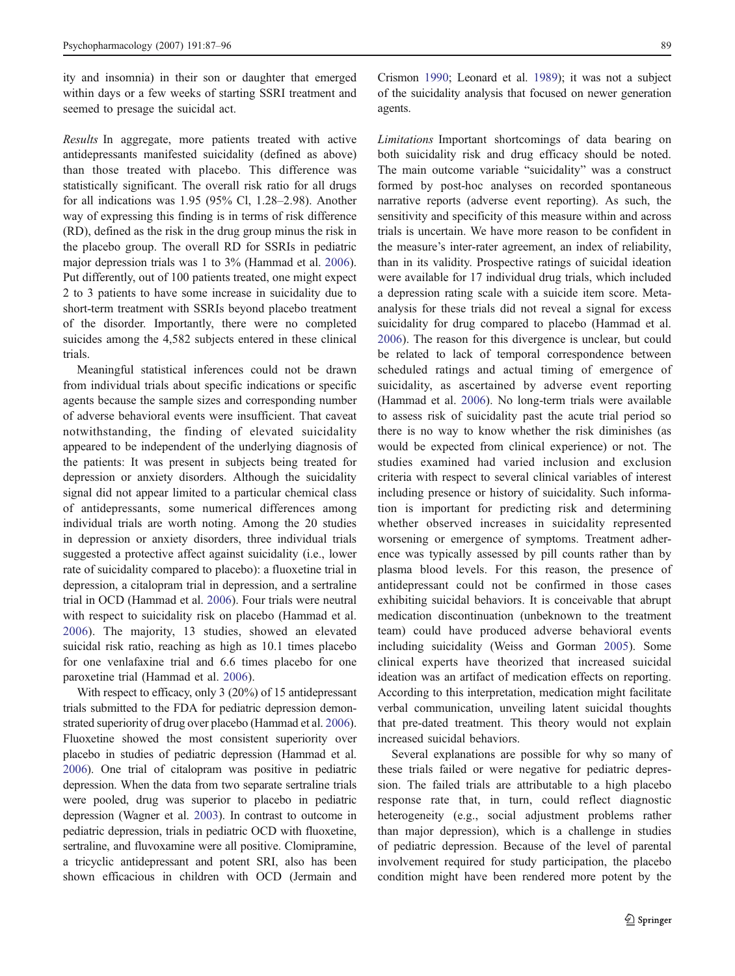ity and insomnia) in their son or daughter that emerged within days or a few weeks of starting SSRI treatment and seemed to presage the suicidal act.

Results In aggregate, more patients treated with active antidepressants manifested suicidality (defined as above) than those treated with placebo. This difference was statistically significant. The overall risk ratio for all drugs for all indications was 1.95 (95% Cl, 1.28–2.98). Another way of expressing this finding is in terms of risk difference (RD), defined as the risk in the drug group minus the risk in the placebo group. The overall RD for SSRIs in pediatric major depression trials was 1 to 3% (Hammad et al. [2006](#page-8-0)). Put differently, out of 100 patients treated, one might expect 2 to 3 patients to have some increase in suicidality due to short-term treatment with SSRIs beyond placebo treatment of the disorder. Importantly, there were no completed suicides among the 4,582 subjects entered in these clinical trials.

Meaningful statistical inferences could not be drawn from individual trials about specific indications or specific agents because the sample sizes and corresponding number of adverse behavioral events were insufficient. That caveat notwithstanding, the finding of elevated suicidality appeared to be independent of the underlying diagnosis of the patients: It was present in subjects being treated for depression or anxiety disorders. Although the suicidality signal did not appear limited to a particular chemical class of antidepressants, some numerical differences among individual trials are worth noting. Among the 20 studies in depression or anxiety disorders, three individual trials suggested a protective affect against suicidality (i.e., lower rate of suicidality compared to placebo): a fluoxetine trial in depression, a citalopram trial in depression, and a sertraline trial in OCD (Hammad et al. [2006\)](#page-8-0). Four trials were neutral with respect to suicidality risk on placebo (Hammad et al. [2006](#page-8-0)). The majority, 13 studies, showed an elevated suicidal risk ratio, reaching as high as 10.1 times placebo for one venlafaxine trial and 6.6 times placebo for one paroxetine trial (Hammad et al. [2006\)](#page-8-0).

With respect to efficacy, only 3 (20%) of 15 antidepressant trials submitted to the FDA for pediatric depression demonstrated superiority of drug over placebo (Hammad et al. [2006\)](#page-8-0). Fluoxetine showed the most consistent superiority over placebo in studies of pediatric depression (Hammad et al. [2006\)](#page-8-0). One trial of citalopram was positive in pediatric depression. When the data from two separate sertraline trials were pooled, drug was superior to placebo in pediatric depression (Wagner et al. [2003\)](#page-9-0). In contrast to outcome in pediatric depression, trials in pediatric OCD with fluoxetine, sertraline, and fluvoxamine were all positive. Clomipramine, a tricyclic antidepressant and potent SRI, also has been shown efficacious in children with OCD (Jermain and Crismon [1990;](#page-8-0) Leonard et al. [1989\)](#page-8-0); it was not a subject of the suicidality analysis that focused on newer generation agents.

Limitations Important shortcomings of data bearing on both suicidality risk and drug efficacy should be noted. The main outcome variable "suicidality" was a construct formed by post-hoc analyses on recorded spontaneous narrative reports (adverse event reporting). As such, the sensitivity and specificity of this measure within and across trials is uncertain. We have more reason to be confident in the measure's inter-rater agreement, an index of reliability, than in its validity. Prospective ratings of suicidal ideation were available for 17 individual drug trials, which included a depression rating scale with a suicide item score. Metaanalysis for these trials did not reveal a signal for excess suicidality for drug compared to placebo (Hammad et al. [2006](#page-8-0)). The reason for this divergence is unclear, but could be related to lack of temporal correspondence between scheduled ratings and actual timing of emergence of suicidality, as ascertained by adverse event reporting (Hammad et al. [2006\)](#page-8-0). No long-term trials were available to assess risk of suicidality past the acute trial period so there is no way to know whether the risk diminishes (as would be expected from clinical experience) or not. The studies examined had varied inclusion and exclusion criteria with respect to several clinical variables of interest including presence or history of suicidality. Such information is important for predicting risk and determining whether observed increases in suicidality represented worsening or emergence of symptoms. Treatment adherence was typically assessed by pill counts rather than by plasma blood levels. For this reason, the presence of antidepressant could not be confirmed in those cases exhibiting suicidal behaviors. It is conceivable that abrupt medication discontinuation (unbeknown to the treatment team) could have produced adverse behavioral events including suicidality (Weiss and Gorman [2005\)](#page-9-0). Some clinical experts have theorized that increased suicidal ideation was an artifact of medication effects on reporting. According to this interpretation, medication might facilitate verbal communication, unveiling latent suicidal thoughts that pre-dated treatment. This theory would not explain increased suicidal behaviors.

Several explanations are possible for why so many of these trials failed or were negative for pediatric depression. The failed trials are attributable to a high placebo response rate that, in turn, could reflect diagnostic heterogeneity (e.g., social adjustment problems rather than major depression), which is a challenge in studies of pediatric depression. Because of the level of parental involvement required for study participation, the placebo condition might have been rendered more potent by the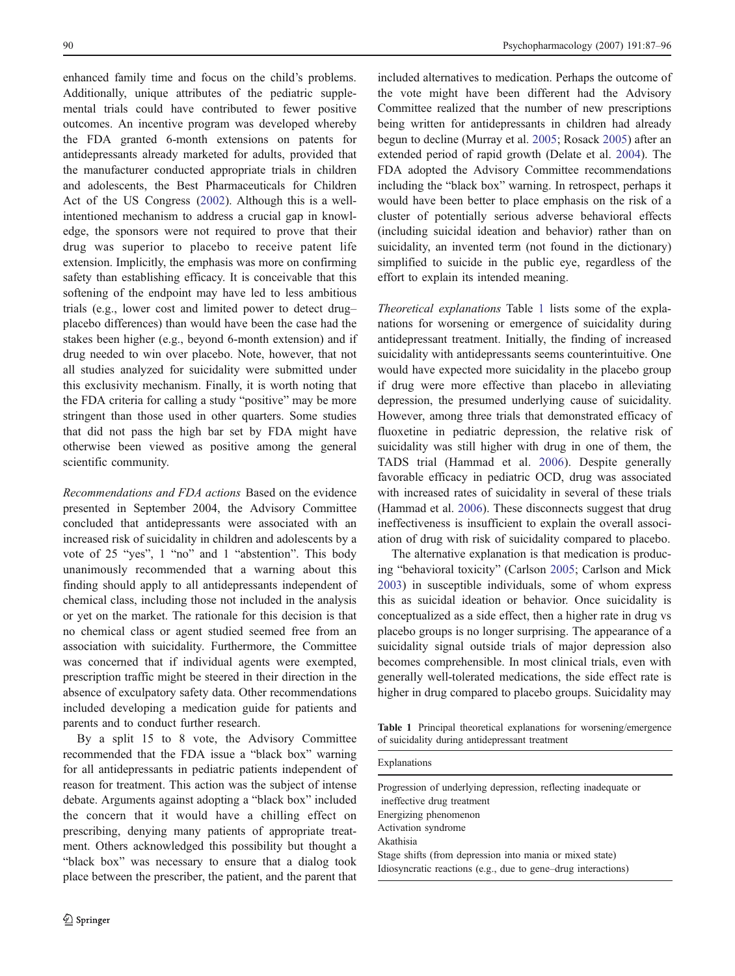enhanced family time and focus on the child's problems. Additionally, unique attributes of the pediatric supplemental trials could have contributed to fewer positive outcomes. An incentive program was developed whereby the FDA granted 6-month extensions on patents for antidepressants already marketed for adults, provided that the manufacturer conducted appropriate trials in children and adolescents, the Best Pharmaceuticals for Children Act of the US Congress [\(2002](#page-9-0)). Although this is a wellintentioned mechanism to address a crucial gap in knowledge, the sponsors were not required to prove that their drug was superior to placebo to receive patent life extension. Implicitly, the emphasis was more on confirming safety than establishing efficacy. It is conceivable that this softening of the endpoint may have led to less ambitious trials (e.g., lower cost and limited power to detect drug– placebo differences) than would have been the case had the stakes been higher (e.g., beyond 6-month extension) and if drug needed to win over placebo. Note, however, that not all studies analyzed for suicidality were submitted under this exclusivity mechanism. Finally, it is worth noting that the FDA criteria for calling a study "positive" may be more stringent than those used in other quarters. Some studies that did not pass the high bar set by FDA might have otherwise been viewed as positive among the general scientific community.

Recommendations and FDA actions Based on the evidence presented in September 2004, the Advisory Committee concluded that antidepressants were associated with an increased risk of suicidality in children and adolescents by a vote of 25 "yes", 1 "no" and 1 "abstention". This body unanimously recommended that a warning about this finding should apply to all antidepressants independent of chemical class, including those not included in the analysis or yet on the market. The rationale for this decision is that no chemical class or agent studied seemed free from an association with suicidality. Furthermore, the Committee was concerned that if individual agents were exempted, prescription traffic might be steered in their direction in the absence of exculpatory safety data. Other recommendations included developing a medication guide for patients and parents and to conduct further research.

By a split 15 to 8 vote, the Advisory Committee recommended that the FDA issue a "black box" warning for all antidepressants in pediatric patients independent of reason for treatment. This action was the subject of intense debate. Arguments against adopting a "black box" included the concern that it would have a chilling effect on prescribing, denying many patients of appropriate treatment. Others acknowledged this possibility but thought a "black box" was necessary to ensure that a dialog took place between the prescriber, the patient, and the parent that

included alternatives to medication. Perhaps the outcome of the vote might have been different had the Advisory Committee realized that the number of new prescriptions being written for antidepressants in children had already begun to decline (Murray et al. [2005;](#page-9-0) Rosack [2005\)](#page-9-0) after an extended period of rapid growth (Delate et al. [2004](#page-8-0)). The FDA adopted the Advisory Committee recommendations including the "black box" warning. In retrospect, perhaps it would have been better to place emphasis on the risk of a cluster of potentially serious adverse behavioral effects (including suicidal ideation and behavior) rather than on suicidality, an invented term (not found in the dictionary) simplified to suicide in the public eye, regardless of the effort to explain its intended meaning.

Theoretical explanations Table 1 lists some of the explanations for worsening or emergence of suicidality during antidepressant treatment. Initially, the finding of increased suicidality with antidepressants seems counterintuitive. One would have expected more suicidality in the placebo group if drug were more effective than placebo in alleviating depression, the presumed underlying cause of suicidality. However, among three trials that demonstrated efficacy of fluoxetine in pediatric depression, the relative risk of suicidality was still higher with drug in one of them, the TADS trial (Hammad et al. [2006](#page-8-0)). Despite generally favorable efficacy in pediatric OCD, drug was associated with increased rates of suicidality in several of these trials (Hammad et al. [2006](#page-8-0)). These disconnects suggest that drug ineffectiveness is insufficient to explain the overall association of drug with risk of suicidality compared to placebo.

The alternative explanation is that medication is producing "behavioral toxicity" (Carlson [2005](#page-8-0); Carlson and Mick [2003](#page-8-0)) in susceptible individuals, some of whom express this as suicidal ideation or behavior. Once suicidality is conceptualized as a side effect, then a higher rate in drug vs placebo groups is no longer surprising. The appearance of a suicidality signal outside trials of major depression also becomes comprehensible. In most clinical trials, even with generally well-tolerated medications, the side effect rate is higher in drug compared to placebo groups. Suicidality may

Table 1 Principal theoretical explanations for worsening/emergence of suicidality during antidepressant treatment

#### Explanations

| Progression of underlying depression, reflecting inadequate or |
|----------------------------------------------------------------|
| ineffective drug treatment                                     |
| Energizing phenomenon                                          |
| Activation syndrome                                            |
| Akathisia                                                      |
| Stage shifts (from depression into mania or mixed state)       |
| Idiosyncratic reactions (e.g., due to gene-drug interactions)  |
|                                                                |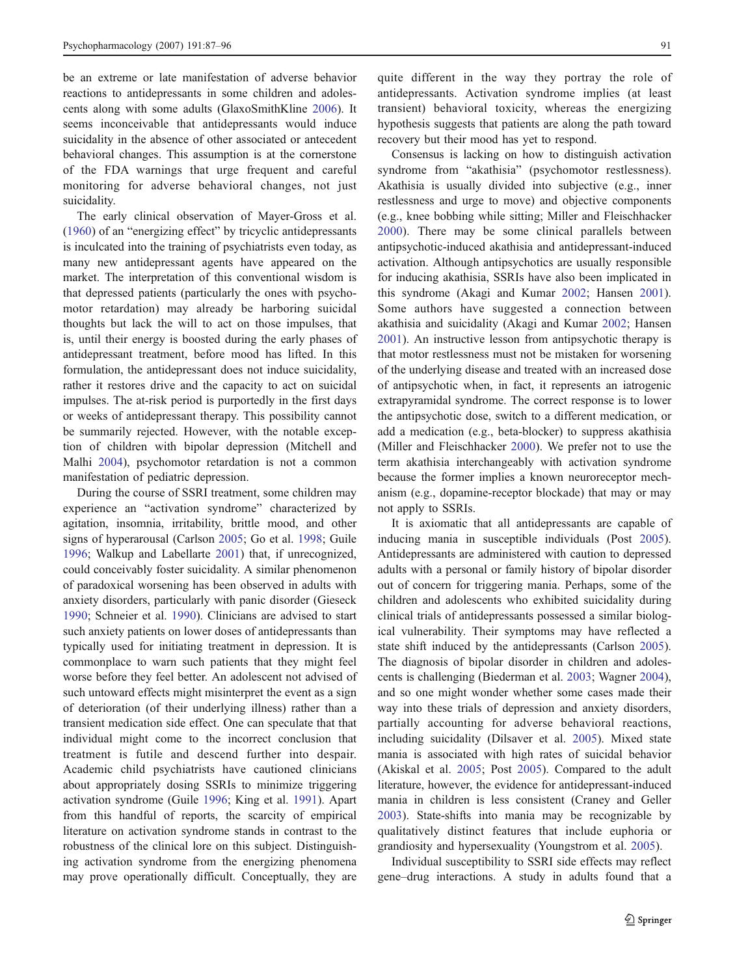be an extreme or late manifestation of adverse behavior reactions to antidepressants in some children and adolescents along with some adults (GlaxoSmithKline [2006](#page-8-0)). It seems inconceivable that antidepressants would induce suicidality in the absence of other associated or antecedent behavioral changes. This assumption is at the cornerstone of the FDA warnings that urge frequent and careful monitoring for adverse behavioral changes, not just suicidality.

The early clinical observation of Mayer-Gross et al. [\(1960](#page-8-0)) of an "energizing effect" by tricyclic antidepressants is inculcated into the training of psychiatrists even today, as many new antidepressant agents have appeared on the market. The interpretation of this conventional wisdom is that depressed patients (particularly the ones with psychomotor retardation) may already be harboring suicidal thoughts but lack the will to act on those impulses, that is, until their energy is boosted during the early phases of antidepressant treatment, before mood has lifted. In this formulation, the antidepressant does not induce suicidality, rather it restores drive and the capacity to act on suicidal impulses. The at-risk period is purportedly in the first days or weeks of antidepressant therapy. This possibility cannot be summarily rejected. However, with the notable exception of children with bipolar depression (Mitchell and Malhi [2004\)](#page-9-0), psychomotor retardation is not a common manifestation of pediatric depression.

During the course of SSRI treatment, some children may experience an "activation syndrome" characterized by agitation, insomnia, irritability, brittle mood, and other signs of hyperarousal (Carlson [2005](#page-8-0); Go et al. [1998](#page-8-0); Guile [1996;](#page-8-0) Walkup and Labellarte [2001\)](#page-9-0) that, if unrecognized, could conceivably foster suicidality. A similar phenomenon of paradoxical worsening has been observed in adults with anxiety disorders, particularly with panic disorder (Gieseck [1990;](#page-8-0) Schneier et al. [1990\)](#page-9-0). Clinicians are advised to start such anxiety patients on lower doses of antidepressants than typically used for initiating treatment in depression. It is commonplace to warn such patients that they might feel worse before they feel better. An adolescent not advised of such untoward effects might misinterpret the event as a sign of deterioration (of their underlying illness) rather than a transient medication side effect. One can speculate that that individual might come to the incorrect conclusion that treatment is futile and descend further into despair. Academic child psychiatrists have cautioned clinicians about appropriately dosing SSRIs to minimize triggering activation syndrome (Guile [1996](#page-8-0); King et al. [1991](#page-8-0)). Apart from this handful of reports, the scarcity of empirical literature on activation syndrome stands in contrast to the robustness of the clinical lore on this subject. Distinguishing activation syndrome from the energizing phenomena may prove operationally difficult. Conceptually, they are

quite different in the way they portray the role of antidepressants. Activation syndrome implies (at least transient) behavioral toxicity, whereas the energizing hypothesis suggests that patients are along the path toward recovery but their mood has yet to respond.

Consensus is lacking on how to distinguish activation syndrome from "akathisia" (psychomotor restlessness). Akathisia is usually divided into subjective (e.g., inner restlessness and urge to move) and objective components (e.g., knee bobbing while sitting; Miller and Fleischhacker [2000](#page-8-0)). There may be some clinical parallels between antipsychotic-induced akathisia and antidepressant-induced activation. Although antipsychotics are usually responsible for inducing akathisia, SSRIs have also been implicated in this syndrome (Akagi and Kumar [2002](#page-7-0); Hansen [2001\)](#page-8-0). Some authors have suggested a connection between akathisia and suicidality (Akagi and Kumar [2002](#page-7-0); Hansen [2001](#page-8-0)). An instructive lesson from antipsychotic therapy is that motor restlessness must not be mistaken for worsening of the underlying disease and treated with an increased dose of antipsychotic when, in fact, it represents an iatrogenic extrapyramidal syndrome. The correct response is to lower the antipsychotic dose, switch to a different medication, or add a medication (e.g., beta-blocker) to suppress akathisia (Miller and Fleischhacker [2000](#page-8-0)). We prefer not to use the term akathisia interchangeably with activation syndrome because the former implies a known neuroreceptor mechanism (e.g., dopamine-receptor blockade) that may or may not apply to SSRIs.

It is axiomatic that all antidepressants are capable of inducing mania in susceptible individuals (Post [2005\)](#page-9-0). Antidepressants are administered with caution to depressed adults with a personal or family history of bipolar disorder out of concern for triggering mania. Perhaps, some of the children and adolescents who exhibited suicidality during clinical trials of antidepressants possessed a similar biological vulnerability. Their symptoms may have reflected a state shift induced by the antidepressants (Carlson [2005\)](#page-8-0). The diagnosis of bipolar disorder in children and adolescents is challenging (Biederman et al. [2003;](#page-8-0) Wagner [2004\)](#page-9-0), and so one might wonder whether some cases made their way into these trials of depression and anxiety disorders, partially accounting for adverse behavioral reactions, including suicidality (Dilsaver et al. [2005](#page-8-0)). Mixed state mania is associated with high rates of suicidal behavior (Akiskal et al. [2005;](#page-7-0) Post [2005](#page-9-0)). Compared to the adult literature, however, the evidence for antidepressant-induced mania in children is less consistent (Craney and Geller [2003](#page-8-0)). State-shifts into mania may be recognizable by qualitatively distinct features that include euphoria or grandiosity and hypersexuality (Youngstrom et al. [2005](#page-9-0)).

Individual susceptibility to SSRI side effects may reflect gene–drug interactions. A study in adults found that a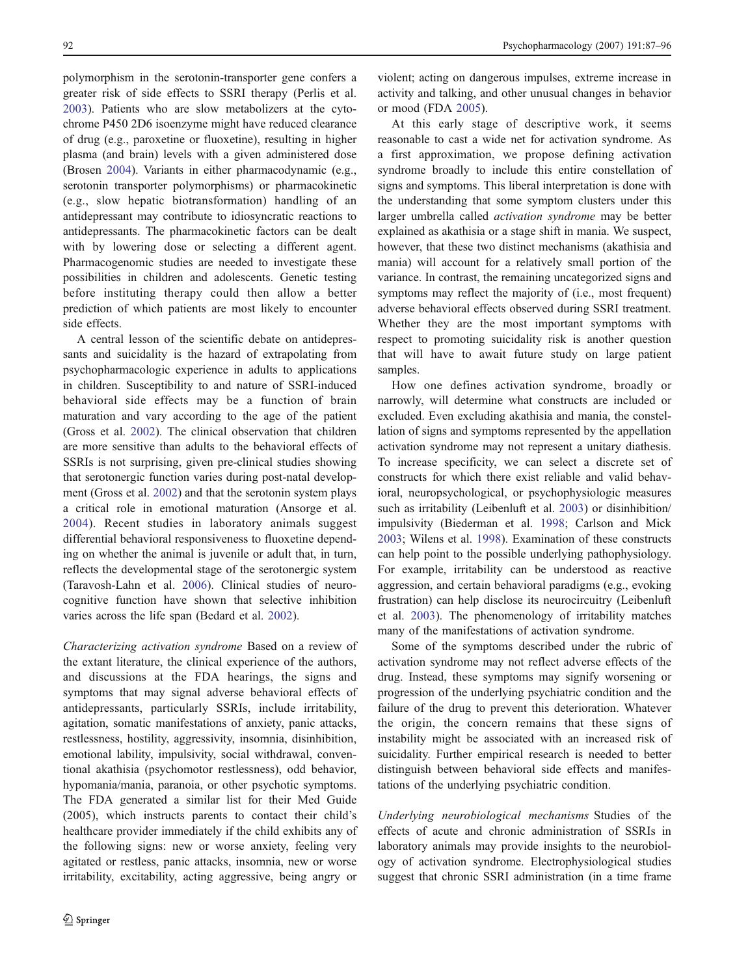polymorphism in the serotonin-transporter gene confers a greater risk of side effects to SSRI therapy (Perlis et al. [2003\)](#page-9-0). Patients who are slow metabolizers at the cytochrome P450 2D6 isoenzyme might have reduced clearance of drug (e.g., paroxetine or fluoxetine), resulting in higher plasma (and brain) levels with a given administered dose (Brosen [2004\)](#page-8-0). Variants in either pharmacodynamic (e.g., serotonin transporter polymorphisms) or pharmacokinetic (e.g., slow hepatic biotransformation) handling of an antidepressant may contribute to idiosyncratic reactions to antidepressants. The pharmacokinetic factors can be dealt with by lowering dose or selecting a different agent. Pharmacogenomic studies are needed to investigate these possibilities in children and adolescents. Genetic testing before instituting therapy could then allow a better prediction of which patients are most likely to encounter side effects.

A central lesson of the scientific debate on antidepressants and suicidality is the hazard of extrapolating from psychopharmacologic experience in adults to applications in children. Susceptibility to and nature of SSRI-induced behavioral side effects may be a function of brain maturation and vary according to the age of the patient (Gross et al. [2002\)](#page-8-0). The clinical observation that children are more sensitive than adults to the behavioral effects of SSRIs is not surprising, given pre-clinical studies showing that serotonergic function varies during post-natal development (Gross et al. [2002](#page-8-0)) and that the serotonin system plays a critical role in emotional maturation (Ansorge et al. [2004\)](#page-7-0). Recent studies in laboratory animals suggest differential behavioral responsiveness to fluoxetine depending on whether the animal is juvenile or adult that, in turn, reflects the developmental stage of the serotonergic system (Taravosh-Lahn et al. [2006\)](#page-9-0). Clinical studies of neurocognitive function have shown that selective inhibition varies across the life span (Bedard et al. [2002](#page-8-0)).

Characterizing activation syndrome Based on a review of the extant literature, the clinical experience of the authors, and discussions at the FDA hearings, the signs and symptoms that may signal adverse behavioral effects of antidepressants, particularly SSRIs, include irritability, agitation, somatic manifestations of anxiety, panic attacks, restlessness, hostility, aggressivity, insomnia, disinhibition, emotional lability, impulsivity, social withdrawal, conventional akathisia (psychomotor restlessness), odd behavior, hypomania/mania, paranoia, or other psychotic symptoms. The FDA generated a similar list for their Med Guide (2005), which instructs parents to contact their child's healthcare provider immediately if the child exhibits any of the following signs: new or worse anxiety, feeling very agitated or restless, panic attacks, insomnia, new or worse irritability, excitability, acting aggressive, being angry or

violent; acting on dangerous impulses, extreme increase in activity and talking, and other unusual changes in behavior or mood (FDA [2005\)](#page-8-0).

At this early stage of descriptive work, it seems reasonable to cast a wide net for activation syndrome. As a first approximation, we propose defining activation syndrome broadly to include this entire constellation of signs and symptoms. This liberal interpretation is done with the understanding that some symptom clusters under this larger umbrella called activation syndrome may be better explained as akathisia or a stage shift in mania. We suspect, however, that these two distinct mechanisms (akathisia and mania) will account for a relatively small portion of the variance. In contrast, the remaining uncategorized signs and symptoms may reflect the majority of (i.e., most frequent) adverse behavioral effects observed during SSRI treatment. Whether they are the most important symptoms with respect to promoting suicidality risk is another question that will have to await future study on large patient samples.

How one defines activation syndrome, broadly or narrowly, will determine what constructs are included or excluded. Even excluding akathisia and mania, the constellation of signs and symptoms represented by the appellation activation syndrome may not represent a unitary diathesis. To increase specificity, we can select a discrete set of constructs for which there exist reliable and valid behavioral, neuropsychological, or psychophysiologic measures such as irritability (Leibenluft et al. [2003](#page-8-0)) or disinhibition/ impulsivity (Biederman et al. [1998;](#page-8-0) Carlson and Mick [2003](#page-8-0); Wilens et al. [1998](#page-9-0)). Examination of these constructs can help point to the possible underlying pathophysiology. For example, irritability can be understood as reactive aggression, and certain behavioral paradigms (e.g., evoking frustration) can help disclose its neurocircuitry (Leibenluft et al. [2003](#page-8-0)). The phenomenology of irritability matches many of the manifestations of activation syndrome.

Some of the symptoms described under the rubric of activation syndrome may not reflect adverse effects of the drug. Instead, these symptoms may signify worsening or progression of the underlying psychiatric condition and the failure of the drug to prevent this deterioration. Whatever the origin, the concern remains that these signs of instability might be associated with an increased risk of suicidality. Further empirical research is needed to better distinguish between behavioral side effects and manifestations of the underlying psychiatric condition.

Underlying neurobiological mechanisms Studies of the effects of acute and chronic administration of SSRIs in laboratory animals may provide insights to the neurobiology of activation syndrome. Electrophysiological studies suggest that chronic SSRI administration (in a time frame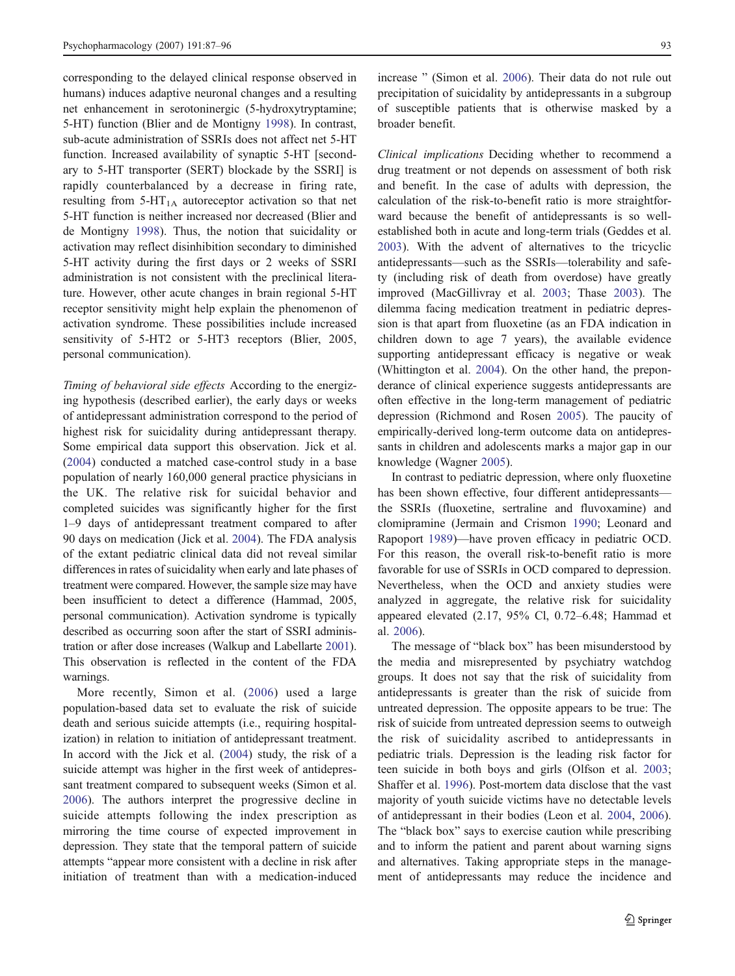corresponding to the delayed clinical response observed in humans) induces adaptive neuronal changes and a resulting net enhancement in serotoninergic (5-hydroxytryptamine; 5-HT) function (Blier and de Montigny [1998\)](#page-8-0). In contrast, sub-acute administration of SSRIs does not affect net 5-HT function. Increased availability of synaptic 5-HT [secondary to 5-HT transporter (SERT) blockade by the SSRI] is rapidly counterbalanced by a decrease in firing rate, resulting from  $5-HT<sub>1A</sub>$  autoreceptor activation so that net 5-HT function is neither increased nor decreased (Blier and de Montigny [1998\)](#page-8-0). Thus, the notion that suicidality or activation may reflect disinhibition secondary to diminished 5-HT activity during the first days or 2 weeks of SSRI administration is not consistent with the preclinical literature. However, other acute changes in brain regional 5-HT receptor sensitivity might help explain the phenomenon of activation syndrome. These possibilities include increased sensitivity of 5-HT2 or 5-HT3 receptors (Blier, 2005, personal communication).

Timing of behavioral side effects According to the energizing hypothesis (described earlier), the early days or weeks of antidepressant administration correspond to the period of highest risk for suicidality during antidepressant therapy. Some empirical data support this observation. Jick et al. [\(2004](#page-8-0)) conducted a matched case-control study in a base population of nearly 160,000 general practice physicians in the UK. The relative risk for suicidal behavior and completed suicides was significantly higher for the first 1–9 days of antidepressant treatment compared to after 90 days on medication (Jick et al. [2004](#page-8-0)). The FDA analysis of the extant pediatric clinical data did not reveal similar differences in rates of suicidality when early and late phases of treatment were compared. However, the sample size may have been insufficient to detect a difference (Hammad, 2005, personal communication). Activation syndrome is typically described as occurring soon after the start of SSRI administration or after dose increases (Walkup and Labellarte [2001\)](#page-9-0). This observation is reflected in the content of the FDA warnings.

More recently, Simon et al. ([2006](#page-9-0)) used a large population-based data set to evaluate the risk of suicide death and serious suicide attempts (i.e., requiring hospitalization) in relation to initiation of antidepressant treatment. In accord with the Jick et al. [\(2004](#page-8-0)) study, the risk of a suicide attempt was higher in the first week of antidepressant treatment compared to subsequent weeks (Simon et al. [2006\)](#page-9-0). The authors interpret the progressive decline in suicide attempts following the index prescription as mirroring the time course of expected improvement in depression. They state that the temporal pattern of suicide attempts "appear more consistent with a decline in risk after initiation of treatment than with a medication-induced

increase " (Simon et al. [2006](#page-9-0)). Their data do not rule out precipitation of suicidality by antidepressants in a subgroup of susceptible patients that is otherwise masked by a broader benefit.

Clinical implications Deciding whether to recommend a drug treatment or not depends on assessment of both risk and benefit. In the case of adults with depression, the calculation of the risk-to-benefit ratio is more straightforward because the benefit of antidepressants is so wellestablished both in acute and long-term trials (Geddes et al. [2003](#page-8-0)). With the advent of alternatives to the tricyclic antidepressants—such as the SSRIs—tolerability and safety (including risk of death from overdose) have greatly improved (MacGillivray et al. [2003;](#page-8-0) Thase [2003](#page-9-0)). The dilemma facing medication treatment in pediatric depression is that apart from fluoxetine (as an FDA indication in children down to age 7 years), the available evidence supporting antidepressant efficacy is negative or weak (Whittington et al. [2004\)](#page-9-0). On the other hand, the preponderance of clinical experience suggests antidepressants are often effective in the long-term management of pediatric depression (Richmond and Rosen [2005](#page-9-0)). The paucity of empirically-derived long-term outcome data on antidepressants in children and adolescents marks a major gap in our knowledge (Wagner [2005](#page-9-0)).

In contrast to pediatric depression, where only fluoxetine has been shown effective, four different antidepressantsthe SSRIs (fluoxetine, sertraline and fluvoxamine) and clomipramine (Jermain and Crismon [1990](#page-8-0); Leonard and Rapoport [1989](#page-8-0))—have proven efficacy in pediatric OCD. For this reason, the overall risk-to-benefit ratio is more favorable for use of SSRIs in OCD compared to depression. Nevertheless, when the OCD and anxiety studies were analyzed in aggregate, the relative risk for suicidality appeared elevated (2.17, 95% Cl, 0.72–6.48; Hammad et al. [2006\)](#page-8-0).

The message of "black box" has been misunderstood by the media and misrepresented by psychiatry watchdog groups. It does not say that the risk of suicidality from antidepressants is greater than the risk of suicide from untreated depression. The opposite appears to be true: The risk of suicide from untreated depression seems to outweigh the risk of suicidality ascribed to antidepressants in pediatric trials. Depression is the leading risk factor for teen suicide in both boys and girls (Olfson et al. [2003;](#page-9-0) Shaffer et al. [1996\)](#page-9-0). Post-mortem data disclose that the vast majority of youth suicide victims have no detectable levels of antidepressant in their bodies (Leon et al. [2004](#page-8-0), [2006\)](#page-8-0). The "black box" says to exercise caution while prescribing and to inform the patient and parent about warning signs and alternatives. Taking appropriate steps in the management of antidepressants may reduce the incidence and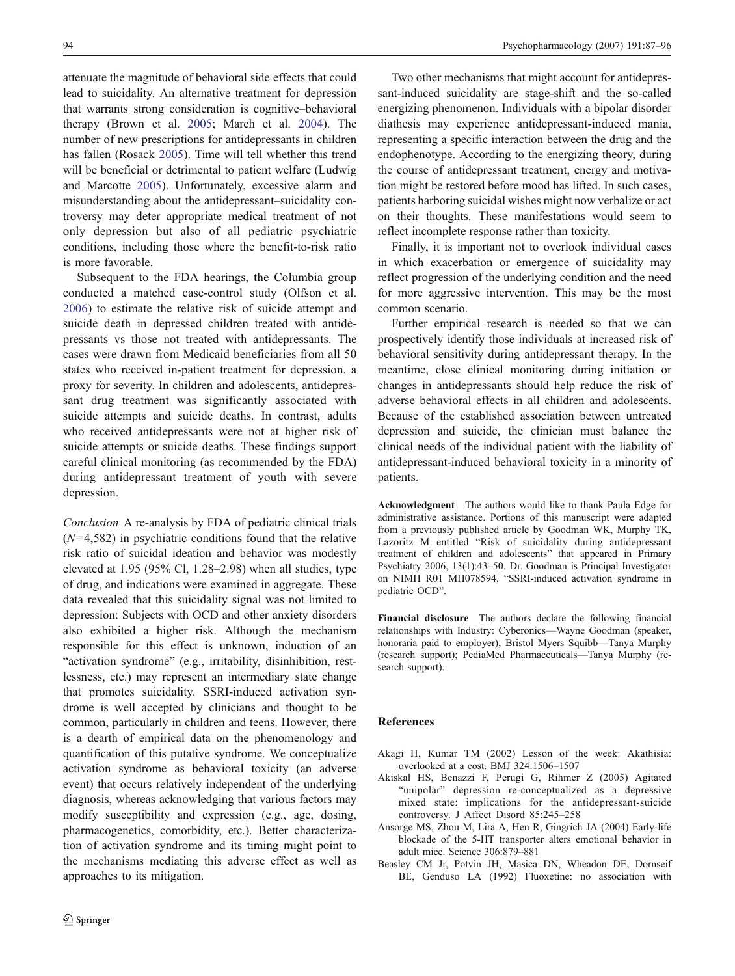<span id="page-7-0"></span>attenuate the magnitude of behavioral side effects that could lead to suicidality. An alternative treatment for depression that warrants strong consideration is cognitive–behavioral therapy (Brown et al. [2005](#page-8-0); March et al. [2004\)](#page-8-0). The number of new prescriptions for antidepressants in children has fallen (Rosack [2005\)](#page-9-0). Time will tell whether this trend will be beneficial or detrimental to patient welfare (Ludwig and Marcotte [2005](#page-8-0)). Unfortunately, excessive alarm and misunderstanding about the antidepressant–suicidality controversy may deter appropriate medical treatment of not only depression but also of all pediatric psychiatric conditions, including those where the benefit-to-risk ratio is more favorable.

Subsequent to the FDA hearings, the Columbia group conducted a matched case-control study (Olfson et al. [2006](#page-9-0)) to estimate the relative risk of suicide attempt and suicide death in depressed children treated with antidepressants vs those not treated with antidepressants. The cases were drawn from Medicaid beneficiaries from all 50 states who received in-patient treatment for depression, a proxy for severity. In children and adolescents, antidepressant drug treatment was significantly associated with suicide attempts and suicide deaths. In contrast, adults who received antidepressants were not at higher risk of suicide attempts or suicide deaths. These findings support careful clinical monitoring (as recommended by the FDA) during antidepressant treatment of youth with severe depression.

Conclusion A re-analysis by FDA of pediatric clinical trials  $(N=4,582)$  in psychiatric conditions found that the relative risk ratio of suicidal ideation and behavior was modestly elevated at 1.95 (95% Cl, 1.28–2.98) when all studies, type of drug, and indications were examined in aggregate. These data revealed that this suicidality signal was not limited to depression: Subjects with OCD and other anxiety disorders also exhibited a higher risk. Although the mechanism responsible for this effect is unknown, induction of an "activation syndrome" (e.g., irritability, disinhibition, restlessness, etc.) may represent an intermediary state change that promotes suicidality. SSRI-induced activation syndrome is well accepted by clinicians and thought to be common, particularly in children and teens. However, there is a dearth of empirical data on the phenomenology and quantification of this putative syndrome. We conceptualize activation syndrome as behavioral toxicity (an adverse event) that occurs relatively independent of the underlying diagnosis, whereas acknowledging that various factors may modify susceptibility and expression (e.g., age, dosing, pharmacogenetics, comorbidity, etc.). Better characterization of activation syndrome and its timing might point to the mechanisms mediating this adverse effect as well as approaches to its mitigation.

Two other mechanisms that might account for antidepressant-induced suicidality are stage-shift and the so-called energizing phenomenon. Individuals with a bipolar disorder diathesis may experience antidepressant-induced mania, representing a specific interaction between the drug and the endophenotype. According to the energizing theory, during the course of antidepressant treatment, energy and motivation might be restored before mood has lifted. In such cases, patients harboring suicidal wishes might now verbalize or act on their thoughts. These manifestations would seem to reflect incomplete response rather than toxicity.

Finally, it is important not to overlook individual cases in which exacerbation or emergence of suicidality may reflect progression of the underlying condition and the need for more aggressive intervention. This may be the most common scenario.

Further empirical research is needed so that we can prospectively identify those individuals at increased risk of behavioral sensitivity during antidepressant therapy. In the meantime, close clinical monitoring during initiation or changes in antidepressants should help reduce the risk of adverse behavioral effects in all children and adolescents. Because of the established association between untreated depression and suicide, the clinician must balance the clinical needs of the individual patient with the liability of antidepressant-induced behavioral toxicity in a minority of patients.

Acknowledgment The authors would like to thank Paula Edge for administrative assistance. Portions of this manuscript were adapted from a previously published article by Goodman WK, Murphy TK, Lazoritz M entitled "Risk of suicidality during antidepressant treatment of children and adolescents" that appeared in Primary Psychiatry 2006, 13(1):43–50. Dr. Goodman is Principal Investigator on NIMH R01 MH078594, "SSRI-induced activation syndrome in pediatric OCD".

Financial disclosure The authors declare the following financial relationships with Industry: Cyberonics—Wayne Goodman (speaker, honoraria paid to employer); Bristol Myers Squibb—Tanya Murphy (research support); PediaMed Pharmaceuticals—Tanya Murphy (research support).

#### References

- Akagi H, Kumar TM (2002) Lesson of the week: Akathisia: overlooked at a cost. BMJ 324:1506–1507
- Akiskal HS, Benazzi F, Perugi G, Rihmer Z (2005) Agitated "unipolar" depression re-conceptualized as a depressive mixed state: implications for the antidepressant-suicide controversy. J Affect Disord 85:245–258
- Ansorge MS, Zhou M, Lira A, Hen R, Gingrich JA (2004) Early-life blockade of the 5-HT transporter alters emotional behavior in adult mice. Science 306:879–881
- Beasley CM Jr, Potvin JH, Masica DN, Wheadon DE, Dornseif BE, Genduso LA (1992) Fluoxetine: no association with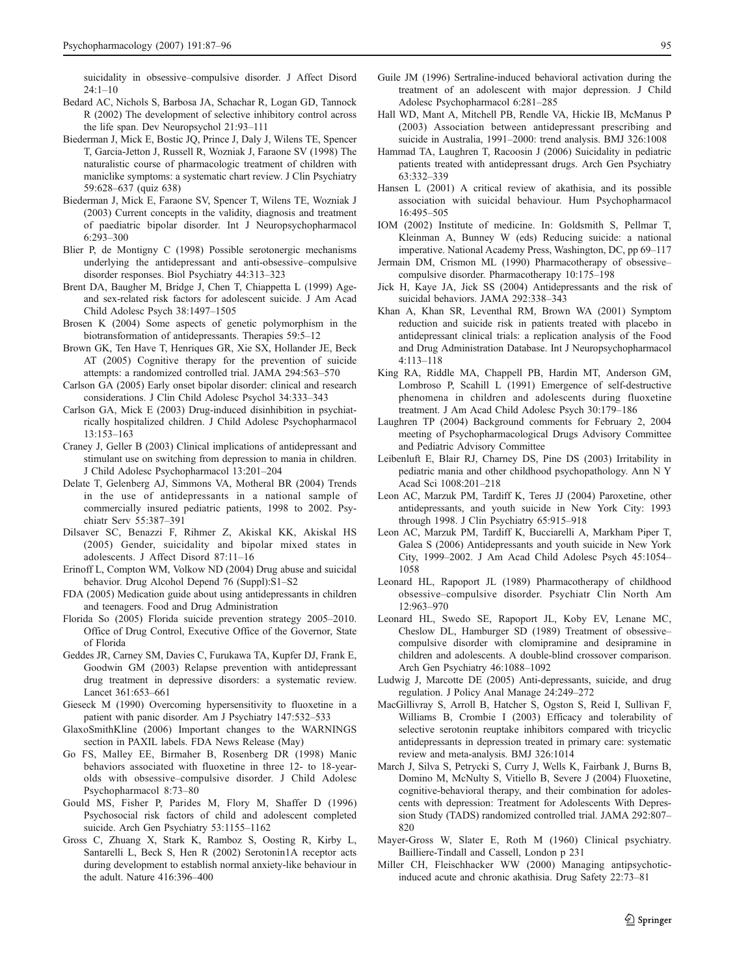<span id="page-8-0"></span>suicidality in obsessive–compulsive disorder. J Affect Disord  $24:1-10$ 

- Bedard AC, Nichols S, Barbosa JA, Schachar R, Logan GD, Tannock R (2002) The development of selective inhibitory control across the life span. Dev Neuropsychol 21:93–111
- Biederman J, Mick E, Bostic JQ, Prince J, Daly J, Wilens TE, Spencer T, Garcia-Jetton J, Russell R, Wozniak J, Faraone SV (1998) The naturalistic course of pharmacologic treatment of children with maniclike symptoms: a systematic chart review. J Clin Psychiatry 59:628–637 (quiz 638)
- Biederman J, Mick E, Faraone SV, Spencer T, Wilens TE, Wozniak J (2003) Current concepts in the validity, diagnosis and treatment of paediatric bipolar disorder. Int J Neuropsychopharmacol 6:293–300
- Blier P, de Montigny C (1998) Possible serotonergic mechanisms underlying the antidepressant and anti-obsessive–compulsive disorder responses. Biol Psychiatry 44:313–323
- Brent DA, Baugher M, Bridge J, Chen T, Chiappetta L (1999) Ageand sex-related risk factors for adolescent suicide. J Am Acad Child Adolesc Psych 38:1497–1505
- Brosen K (2004) Some aspects of genetic polymorphism in the biotransformation of antidepressants. Therapies 59:5–12
- Brown GK, Ten Have T, Henriques GR, Xie SX, Hollander JE, Beck AT (2005) Cognitive therapy for the prevention of suicide attempts: a randomized controlled trial. JAMA 294:563–570
- Carlson GA (2005) Early onset bipolar disorder: clinical and research considerations. J Clin Child Adolesc Psychol 34:333–343
- Carlson GA, Mick E (2003) Drug-induced disinhibition in psychiatrically hospitalized children. J Child Adolesc Psychopharmacol 13:153–163
- Craney J, Geller B (2003) Clinical implications of antidepressant and stimulant use on switching from depression to mania in children. J Child Adolesc Psychopharmacol 13:201–204
- Delate T, Gelenberg AJ, Simmons VA, Motheral BR (2004) Trends in the use of antidepressants in a national sample of commercially insured pediatric patients, 1998 to 2002. Psychiatr Serv 55:387–391
- Dilsaver SC, Benazzi F, Rihmer Z, Akiskal KK, Akiskal HS (2005) Gender, suicidality and bipolar mixed states in adolescents. J Affect Disord 87:11–16
- Erinoff L, Compton WM, Volkow ND (2004) Drug abuse and suicidal behavior. Drug Alcohol Depend 76 (Suppl):S1–S2
- FDA (2005) Medication guide about using antidepressants in children and teenagers. Food and Drug Administration
- Florida So (2005) Florida suicide prevention strategy 2005–2010. Office of Drug Control, Executive Office of the Governor, State of Florida
- Geddes JR, Carney SM, Davies C, Furukawa TA, Kupfer DJ, Frank E, Goodwin GM (2003) Relapse prevention with antidepressant drug treatment in depressive disorders: a systematic review. Lancet 361:653–661
- Gieseck M (1990) Overcoming hypersensitivity to fluoxetine in a patient with panic disorder. Am J Psychiatry 147:532–533
- GlaxoSmithKline (2006) Important changes to the WARNINGS section in PAXIL labels. FDA News Release (May)
- Go FS, Malley EE, Birmaher B, Rosenberg DR (1998) Manic behaviors associated with fluoxetine in three 12- to 18-yearolds with obsessive–compulsive disorder. J Child Adolesc Psychopharmacol 8:73–80
- Gould MS, Fisher P, Parides M, Flory M, Shaffer D (1996) Psychosocial risk factors of child and adolescent completed suicide. Arch Gen Psychiatry 53:1155–1162
- Gross C, Zhuang X, Stark K, Ramboz S, Oosting R, Kirby L, Santarelli L, Beck S, Hen R (2002) Serotonin1A receptor acts during development to establish normal anxiety-like behaviour in the adult. Nature 416:396–400
- Guile JM (1996) Sertraline-induced behavioral activation during the treatment of an adolescent with major depression. J Child Adolesc Psychopharmacol 6:281–285
- Hall WD, Mant A, Mitchell PB, Rendle VA, Hickie IB, McManus P (2003) Association between antidepressant prescribing and suicide in Australia, 1991–2000: trend analysis. BMJ 326:1008
- Hammad TA, Laughren T, Racoosin J (2006) Suicidality in pediatric patients treated with antidepressant drugs. Arch Gen Psychiatry 63:332–339
- Hansen L (2001) A critical review of akathisia, and its possible association with suicidal behaviour. Hum Psychopharmacol 16:495–505
- IOM (2002) Institute of medicine. In: Goldsmith S, Pellmar T, Kleinman A, Bunney W (eds) Reducing suicide: a national imperative. National Academy Press, Washington, DC, pp 69–117
- Jermain DM, Crismon ML (1990) Pharmacotherapy of obsessive– compulsive disorder. Pharmacotherapy 10:175–198
- Jick H, Kaye JA, Jick SS (2004) Antidepressants and the risk of suicidal behaviors. JAMA 292:338–343
- Khan A, Khan SR, Leventhal RM, Brown WA (2001) Symptom reduction and suicide risk in patients treated with placebo in antidepressant clinical trials: a replication analysis of the Food and Drug Administration Database. Int J Neuropsychopharmacol 4:113–118
- King RA, Riddle MA, Chappell PB, Hardin MT, Anderson GM, Lombroso P, Scahill L (1991) Emergence of self-destructive phenomena in children and adolescents during fluoxetine treatment. J Am Acad Child Adolesc Psych 30:179–186
- Laughren TP (2004) Background comments for February 2, 2004 meeting of Psychopharmacological Drugs Advisory Committee and Pediatric Advisory Committee
- Leibenluft E, Blair RJ, Charney DS, Pine DS (2003) Irritability in pediatric mania and other childhood psychopathology. Ann N Y Acad Sci 1008:201–218
- Leon AC, Marzuk PM, Tardiff K, Teres JJ (2004) Paroxetine, other antidepressants, and youth suicide in New York City: 1993 through 1998. J Clin Psychiatry 65:915–918
- Leon AC, Marzuk PM, Tardiff K, Bucciarelli A, Markham Piper T, Galea S (2006) Antidepressants and youth suicide in New York City, 1999–2002. J Am Acad Child Adolesc Psych 45:1054– 1058
- Leonard HL, Rapoport JL (1989) Pharmacotherapy of childhood obsessive–compulsive disorder. Psychiatr Clin North Am 12:963–970
- Leonard HL, Swedo SE, Rapoport JL, Koby EV, Lenane MC, Cheslow DL, Hamburger SD (1989) Treatment of obsessive– compulsive disorder with clomipramine and desipramine in children and adolescents. A double-blind crossover comparison. Arch Gen Psychiatry 46:1088–1092
- Ludwig J, Marcotte DE (2005) Anti-depressants, suicide, and drug regulation. J Policy Anal Manage 24:249–272
- MacGillivray S, Arroll B, Hatcher S, Ogston S, Reid I, Sullivan F, Williams B, Crombie I (2003) Efficacy and tolerability of selective serotonin reuptake inhibitors compared with tricyclic antidepressants in depression treated in primary care: systematic review and meta-analysis. BMJ 326:1014
- March J, Silva S, Petrycki S, Curry J, Wells K, Fairbank J, Burns B, Domino M, McNulty S, Vitiello B, Severe J (2004) Fluoxetine, cognitive-behavioral therapy, and their combination for adolescents with depression: Treatment for Adolescents With Depression Study (TADS) randomized controlled trial. JAMA 292:807– 820
- Mayer-Gross W, Slater E, Roth M (1960) Clinical psychiatry. Bailliere-Tindall and Cassell, London p 231
- Miller CH, Fleischhacker WW (2000) Managing antipsychoticinduced acute and chronic akathisia. Drug Safety 22:73–81